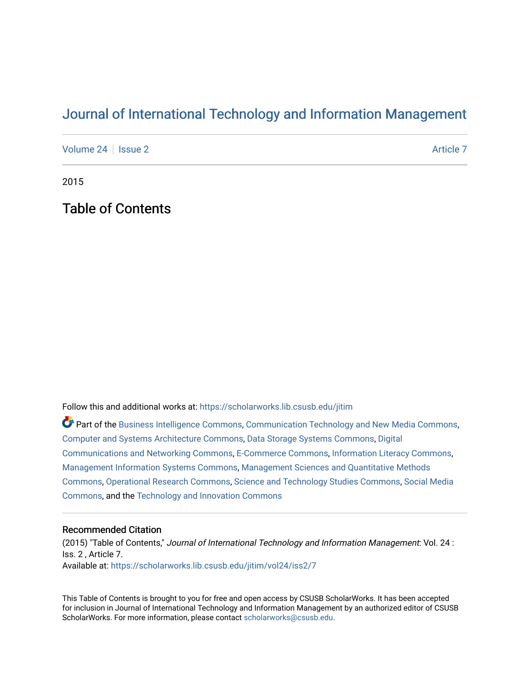## [Journal of International Technology and Information Management](https://scholarworks.lib.csusb.edu/jitim)

[Volume 24](https://scholarworks.lib.csusb.edu/jitim/vol24) | [Issue 2](https://scholarworks.lib.csusb.edu/jitim/vol24/iss2) [Article 7](https://scholarworks.lib.csusb.edu/jitim/vol24/iss2/7) Article 7 Article 7 Article 7 Article 7 Article 7 Article 7

2015

Table of Contents

Follow this and additional works at: [https://scholarworks.lib.csusb.edu/jitim](https://scholarworks.lib.csusb.edu/jitim?utm_source=scholarworks.lib.csusb.edu%2Fjitim%2Fvol24%2Fiss2%2F7&utm_medium=PDF&utm_campaign=PDFCoverPages) 

Part of the [Business Intelligence Commons,](http://network.bepress.com/hgg/discipline/1326?utm_source=scholarworks.lib.csusb.edu%2Fjitim%2Fvol24%2Fiss2%2F7&utm_medium=PDF&utm_campaign=PDFCoverPages) [Communication Technology and New Media Commons,](http://network.bepress.com/hgg/discipline/327?utm_source=scholarworks.lib.csusb.edu%2Fjitim%2Fvol24%2Fiss2%2F7&utm_medium=PDF&utm_campaign=PDFCoverPages) [Computer and Systems Architecture Commons](http://network.bepress.com/hgg/discipline/259?utm_source=scholarworks.lib.csusb.edu%2Fjitim%2Fvol24%2Fiss2%2F7&utm_medium=PDF&utm_campaign=PDFCoverPages), [Data Storage Systems Commons](http://network.bepress.com/hgg/discipline/261?utm_source=scholarworks.lib.csusb.edu%2Fjitim%2Fvol24%2Fiss2%2F7&utm_medium=PDF&utm_campaign=PDFCoverPages), [Digital](http://network.bepress.com/hgg/discipline/262?utm_source=scholarworks.lib.csusb.edu%2Fjitim%2Fvol24%2Fiss2%2F7&utm_medium=PDF&utm_campaign=PDFCoverPages) [Communications and Networking Commons](http://network.bepress.com/hgg/discipline/262?utm_source=scholarworks.lib.csusb.edu%2Fjitim%2Fvol24%2Fiss2%2F7&utm_medium=PDF&utm_campaign=PDFCoverPages), [E-Commerce Commons](http://network.bepress.com/hgg/discipline/624?utm_source=scholarworks.lib.csusb.edu%2Fjitim%2Fvol24%2Fiss2%2F7&utm_medium=PDF&utm_campaign=PDFCoverPages), [Information Literacy Commons,](http://network.bepress.com/hgg/discipline/1243?utm_source=scholarworks.lib.csusb.edu%2Fjitim%2Fvol24%2Fiss2%2F7&utm_medium=PDF&utm_campaign=PDFCoverPages) [Management Information Systems Commons,](http://network.bepress.com/hgg/discipline/636?utm_source=scholarworks.lib.csusb.edu%2Fjitim%2Fvol24%2Fiss2%2F7&utm_medium=PDF&utm_campaign=PDFCoverPages) [Management Sciences and Quantitative Methods](http://network.bepress.com/hgg/discipline/637?utm_source=scholarworks.lib.csusb.edu%2Fjitim%2Fvol24%2Fiss2%2F7&utm_medium=PDF&utm_campaign=PDFCoverPages) [Commons](http://network.bepress.com/hgg/discipline/637?utm_source=scholarworks.lib.csusb.edu%2Fjitim%2Fvol24%2Fiss2%2F7&utm_medium=PDF&utm_campaign=PDFCoverPages), [Operational Research Commons](http://network.bepress.com/hgg/discipline/308?utm_source=scholarworks.lib.csusb.edu%2Fjitim%2Fvol24%2Fiss2%2F7&utm_medium=PDF&utm_campaign=PDFCoverPages), [Science and Technology Studies Commons,](http://network.bepress.com/hgg/discipline/435?utm_source=scholarworks.lib.csusb.edu%2Fjitim%2Fvol24%2Fiss2%2F7&utm_medium=PDF&utm_campaign=PDFCoverPages) [Social Media](http://network.bepress.com/hgg/discipline/1249?utm_source=scholarworks.lib.csusb.edu%2Fjitim%2Fvol24%2Fiss2%2F7&utm_medium=PDF&utm_campaign=PDFCoverPages) [Commons](http://network.bepress.com/hgg/discipline/1249?utm_source=scholarworks.lib.csusb.edu%2Fjitim%2Fvol24%2Fiss2%2F7&utm_medium=PDF&utm_campaign=PDFCoverPages), and the [Technology and Innovation Commons](http://network.bepress.com/hgg/discipline/644?utm_source=scholarworks.lib.csusb.edu%2Fjitim%2Fvol24%2Fiss2%2F7&utm_medium=PDF&utm_campaign=PDFCoverPages) 

## Recommended Citation

(2015) "Table of Contents," Journal of International Technology and Information Management: Vol. 24 : Iss. 2 , Article 7. Available at: [https://scholarworks.lib.csusb.edu/jitim/vol24/iss2/7](https://scholarworks.lib.csusb.edu/jitim/vol24/iss2/7?utm_source=scholarworks.lib.csusb.edu%2Fjitim%2Fvol24%2Fiss2%2F7&utm_medium=PDF&utm_campaign=PDFCoverPages) 

This Table of Contents is brought to you for free and open access by CSUSB ScholarWorks. It has been accepted for inclusion in Journal of International Technology and Information Management by an authorized editor of CSUSB ScholarWorks. For more information, please contact [scholarworks@csusb.edu.](mailto:scholarworks@csusb.edu)